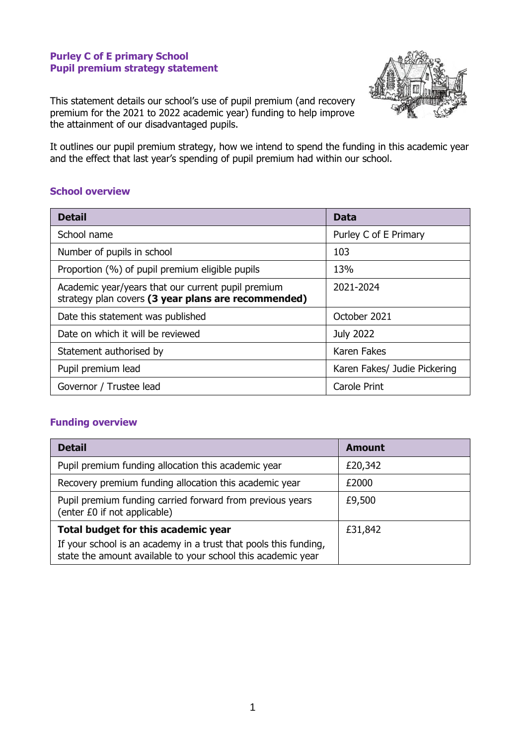#### **Purley C of E primary School Pupil premium strategy statement**



This statement details our school's use of pupil premium (and recovery premium for the 2021 to 2022 academic year) funding to help improve the attainment of our disadvantaged pupils.

It outlines our pupil premium strategy, how we intend to spend the funding in this academic year and the effect that last year's spending of pupil premium had within our school.

#### **School overview**

| <b>Detail</b>                                                                                             | <b>Data</b>                  |
|-----------------------------------------------------------------------------------------------------------|------------------------------|
| School name                                                                                               | Purley C of E Primary        |
| Number of pupils in school                                                                                | 103                          |
| Proportion (%) of pupil premium eligible pupils                                                           | 13%                          |
| Academic year/years that our current pupil premium<br>strategy plan covers (3 year plans are recommended) | 2021-2024                    |
| Date this statement was published                                                                         | October 2021                 |
| Date on which it will be reviewed                                                                         | <b>July 2022</b>             |
| Statement authorised by                                                                                   | Karen Fakes                  |
| Pupil premium lead                                                                                        | Karen Fakes/ Judie Pickering |
| Governor / Trustee lead                                                                                   | <b>Carole Print</b>          |

### **Funding overview**

| <b>Detail</b>                                                                                                                    | <b>Amount</b> |
|----------------------------------------------------------------------------------------------------------------------------------|---------------|
| Pupil premium funding allocation this academic year                                                                              | £20,342       |
| Recovery premium funding allocation this academic year                                                                           | £2000         |
| Pupil premium funding carried forward from previous years<br>(enter £0 if not applicable)                                        | £9,500        |
| Total budget for this academic year                                                                                              | £31,842       |
| If your school is an academy in a trust that pools this funding,<br>state the amount available to your school this academic year |               |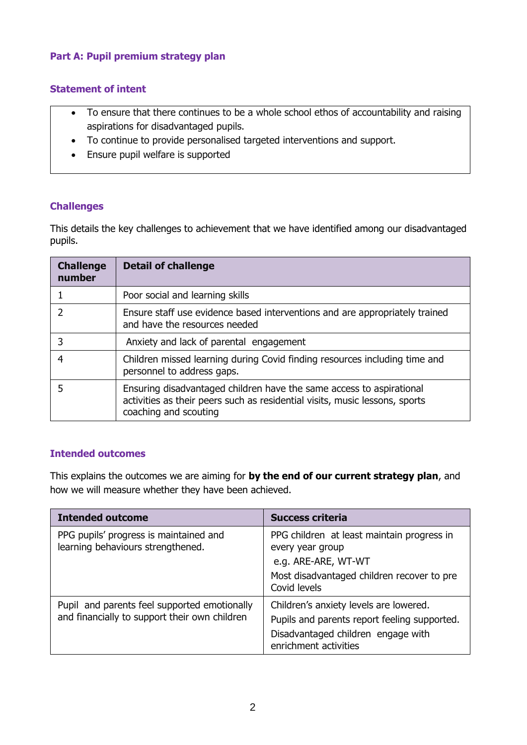# **Part A: Pupil premium strategy plan**

### **Statement of intent**

- To ensure that there continues to be a whole school ethos of accountability and raising aspirations for disadvantaged pupils.
- To continue to provide personalised targeted interventions and support.
- Ensure pupil welfare is supported

#### **Challenges**

This details the key challenges to achievement that we have identified among our disadvantaged pupils.

| <b>Challenge</b><br>number | <b>Detail of challenge</b>                                                                                                                                                   |
|----------------------------|------------------------------------------------------------------------------------------------------------------------------------------------------------------------------|
|                            | Poor social and learning skills                                                                                                                                              |
|                            | Ensure staff use evidence based interventions and are appropriately trained<br>and have the resources needed                                                                 |
|                            | Anxiety and lack of parental engagement                                                                                                                                      |
|                            | Children missed learning during Covid finding resources including time and<br>personnel to address gaps.                                                                     |
|                            | Ensuring disadvantaged children have the same access to aspirational<br>activities as their peers such as residential visits, music lessons, sports<br>coaching and scouting |

### **Intended outcomes**

This explains the outcomes we are aiming for **by the end of our current strategy plan**, and how we will measure whether they have been achieved.

| <b>Intended outcome</b>                                                                       | <b>Success criteria</b>                                                                                                                               |
|-----------------------------------------------------------------------------------------------|-------------------------------------------------------------------------------------------------------------------------------------------------------|
| PPG pupils' progress is maintained and<br>learning behaviours strengthened.                   | PPG children at least maintain progress in<br>every year group<br>e.g. ARE-ARE, WT-WT<br>Most disadvantaged children recover to pre<br>Covid levels   |
| Pupil and parents feel supported emotionally<br>and financially to support their own children | Children's anxiety levels are lowered.<br>Pupils and parents report feeling supported.<br>Disadvantaged children engage with<br>enrichment activities |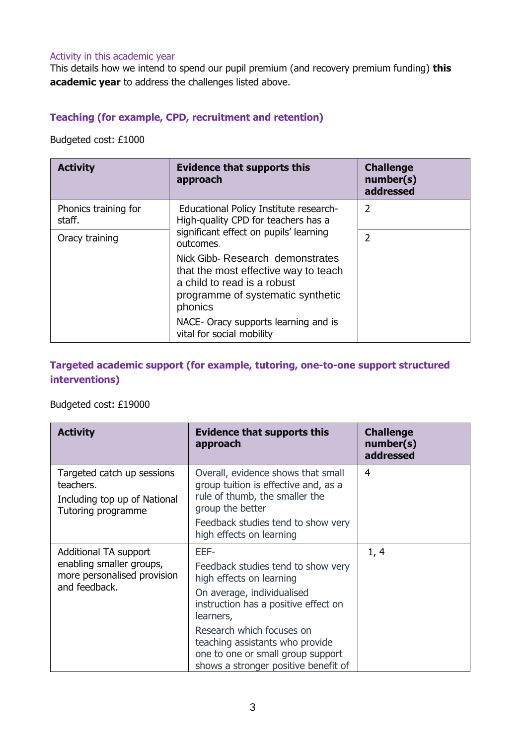#### Activity in this academic year

This details how we intend to spend our pupil premium (and recovery premium funding) **this academic year** to address the challenges listed above.

## **Teaching (for example, CPD, recruitment and retention)**

Budgeted cost: £1000

| <b>Activity</b>                | <b>Evidence that supports this</b><br>approach                                                                                                          | <b>Challenge</b><br>number(s)<br>addressed |
|--------------------------------|---------------------------------------------------------------------------------------------------------------------------------------------------------|--------------------------------------------|
| Phonics training for<br>staff. | Educational Policy Institute research-<br>High-quality CPD for teachers has a                                                                           | $\overline{2}$                             |
| Oracy training                 | significant effect on pupils' learning<br>outcomes.                                                                                                     | $\overline{2}$                             |
|                                | Nick Gibb- Research demonstrates<br>that the most effective way to teach<br>a child to read is a robust<br>programme of systematic synthetic<br>phonics |                                            |
|                                | NACE- Oracy supports learning and is<br>vital for social mobility                                                                                       |                                            |

# **Targeted academic support (for example, tutoring, one-to-one support structured interventions)**

## Budgeted cost: £19000

| <b>Activity</b>                                                                                   | <b>Evidence that supports this</b><br>approach                                                                                                                                                                                                                                                         | <b>Challenge</b><br>number(s)<br>addressed |
|---------------------------------------------------------------------------------------------------|--------------------------------------------------------------------------------------------------------------------------------------------------------------------------------------------------------------------------------------------------------------------------------------------------------|--------------------------------------------|
| Targeted catch up sessions<br>teachers.<br>Including top up of National<br>Tutoring programme     | Overall, evidence shows that small<br>group tuition is effective and, as a<br>rule of thumb, the smaller the<br>group the better<br>Feedback studies tend to show very<br>high effects on learning                                                                                                     | 4                                          |
| Additional TA support<br>enabling smaller groups,<br>more personalised provision<br>and feedback. | EEF-<br>Feedback studies tend to show very<br>high effects on learning<br>On average, individualised<br>instruction has a positive effect on<br>learners,<br>Research which focuses on<br>teaching assistants who provide<br>one to one or small group support<br>shows a stronger positive benefit of | 1, 4                                       |